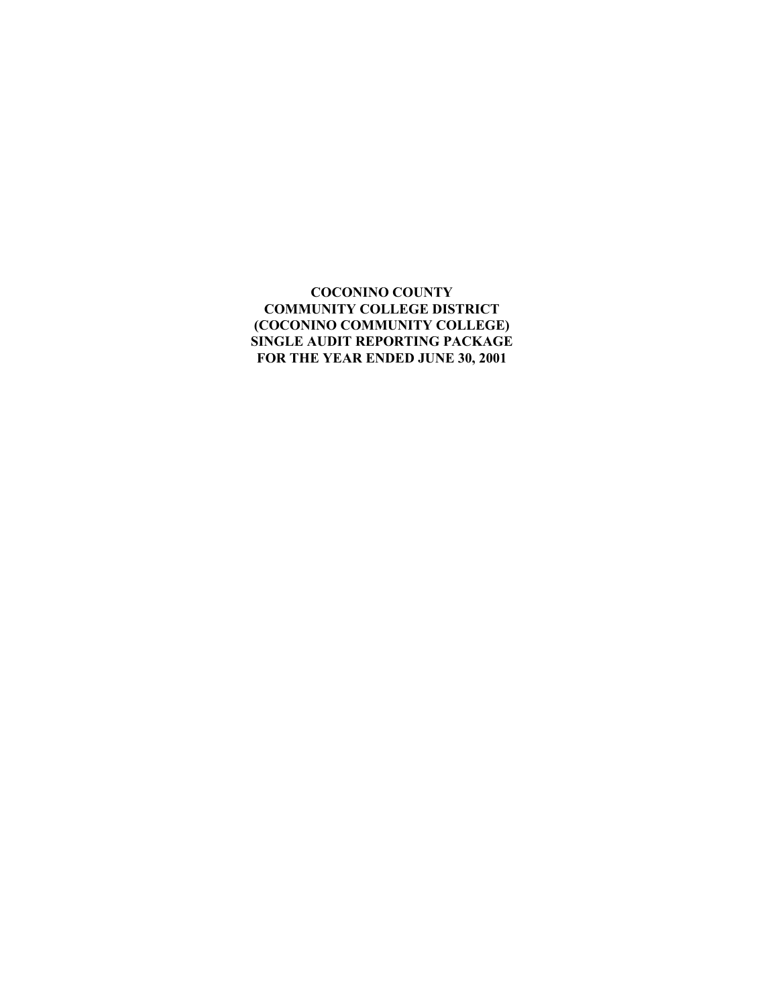#### **COCONINO COUNTY COMMUNITY COLLEGE DISTRICT (COCONINO COMMUNITY COLLEGE) SINGLE AUDIT REPORTING PACKAGE FOR THE YEAR ENDED JUNE 30, 2001**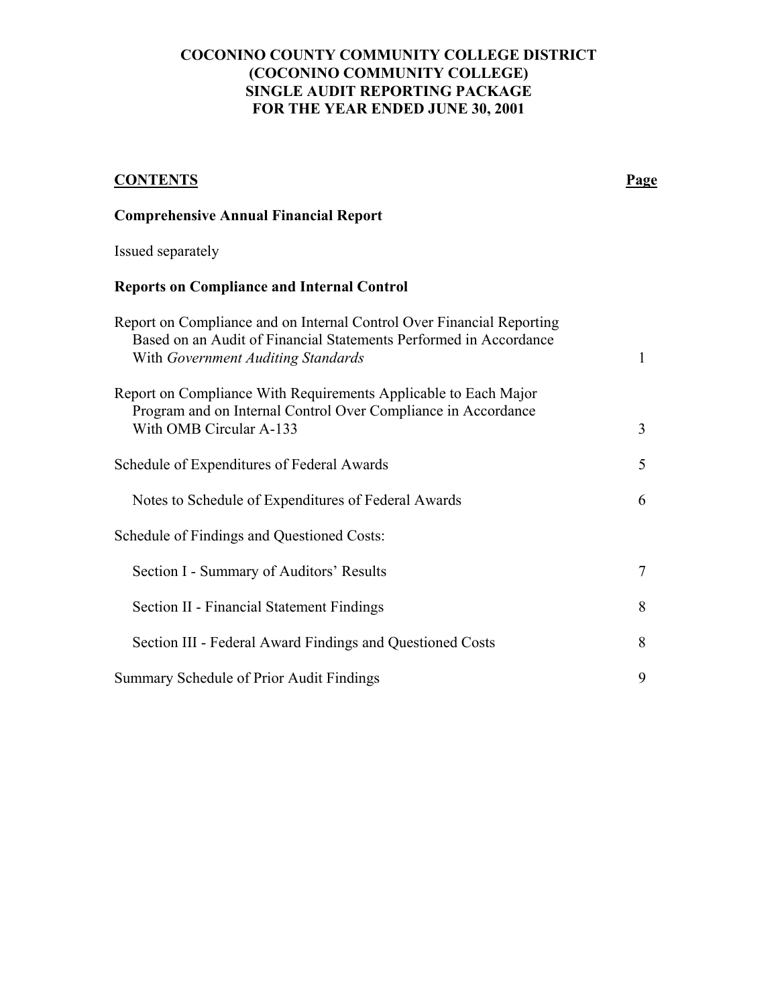#### **COCONINO COUNTY COMMUNITY COLLEGE DISTRICT (COCONINO COMMUNITY COLLEGE) SINGLE AUDIT REPORTING PACKAGE FOR THE YEAR ENDED JUNE 30, 2001**

# **CONTENTS Page Comprehensive Annual Financial Report**  Issued separately **Reports on Compliance and Internal Control**  Report on Compliance and on Internal Control Over Financial Reporting Based on an Audit of Financial Statements Performed in Accordance With *Government Auditing Standards* 1 Report on Compliance With Requirements Applicable to Each Major Program and on Internal Control Over Compliance in Accordance With OMB Circular A-133 3 Schedule of Expenditures of Federal Awards 5 Notes to Schedule of Expenditures of Federal Awards 6 Schedule of Findings and Questioned Costs: Section I - Summary of Auditors' Results 7 Section II - Financial Statement Findings 8 Section III - Federal Award Findings and Questioned Costs 8 Summary Schedule of Prior Audit Findings 9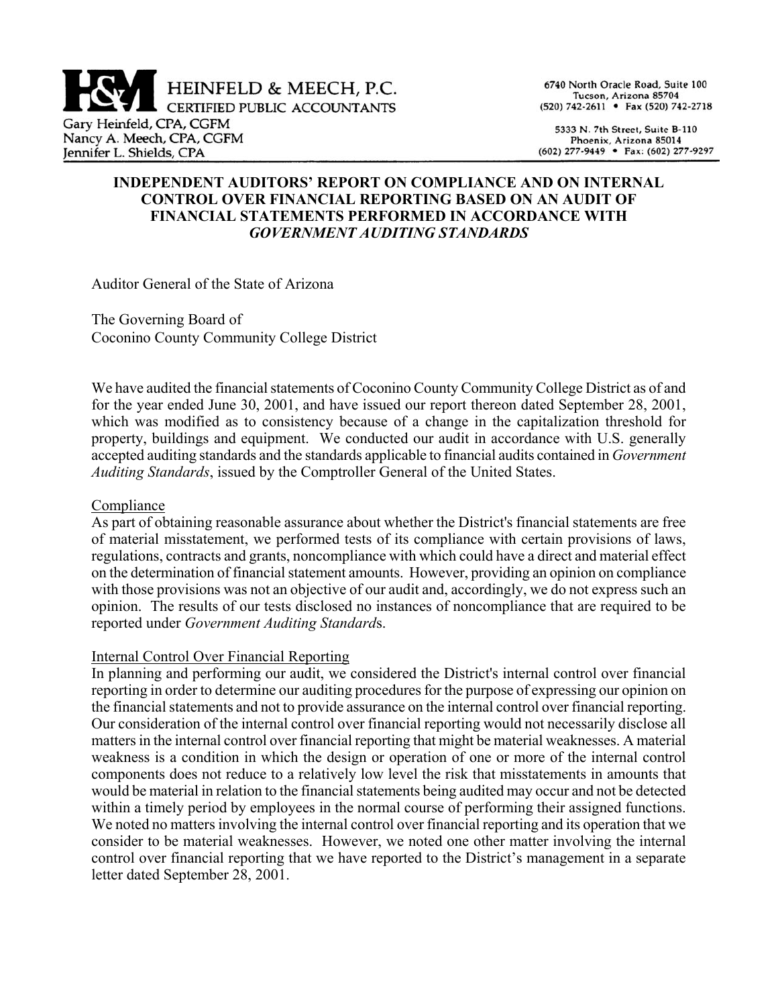

6740 North Oracle Road, Suite 100 Tucson, Arizona 85704 (520) 742-2611 • Fax (520) 742-2718

5333 N. 7th Street, Suite B-110 Phoenix, Arizona 85014 (602) 277-9449 • Fax: (602) 277-9297

#### **INDEPENDENT AUDITORSí REPORT ON COMPLIANCE AND ON INTERNAL CONTROL OVER FINANCIAL REPORTING BASED ON AN AUDIT OF FINANCIAL STATEMENTS PERFORMED IN ACCORDANCE WITH**  *GOVERNMENT AUDITING STANDARDS*

Auditor General of the State of Arizona

The Governing Board of Coconino County Community College District

We have audited the financial statements of Coconino County Community College District as of and for the year ended June 30, 2001, and have issued our report thereon dated September 28, 2001, which was modified as to consistency because of a change in the capitalization threshold for property, buildings and equipment. We conducted our audit in accordance with U.S. generally accepted auditing standards and the standards applicable to financial audits contained in *Government Auditing Standards*, issued by the Comptroller General of the United States.

#### Compliance

As part of obtaining reasonable assurance about whether the District's financial statements are free of material misstatement, we performed tests of its compliance with certain provisions of laws, regulations, contracts and grants, noncompliance with which could have a direct and material effect on the determination of financial statement amounts. However, providing an opinion on compliance with those provisions was not an objective of our audit and, accordingly, we do not express such an opinion. The results of our tests disclosed no instances of noncompliance that are required to be reported under *Government Auditing Standard*s.

#### Internal Control Over Financial Reporting

In planning and performing our audit, we considered the District's internal control over financial reporting in order to determine our auditing procedures for the purpose of expressing our opinion on the financial statements and not to provide assurance on the internal control over financial reporting. Our consideration of the internal control over financial reporting would not necessarily disclose all matters in the internal control over financial reporting that might be material weaknesses. A material weakness is a condition in which the design or operation of one or more of the internal control components does not reduce to a relatively low level the risk that misstatements in amounts that would be material in relation to the financial statements being audited may occur and not be detected within a timely period by employees in the normal course of performing their assigned functions. We noted no matters involving the internal control over financial reporting and its operation that we consider to be material weaknesses. However, we noted one other matter involving the internal control over financial reporting that we have reported to the District's management in a separate letter dated September 28, 2001.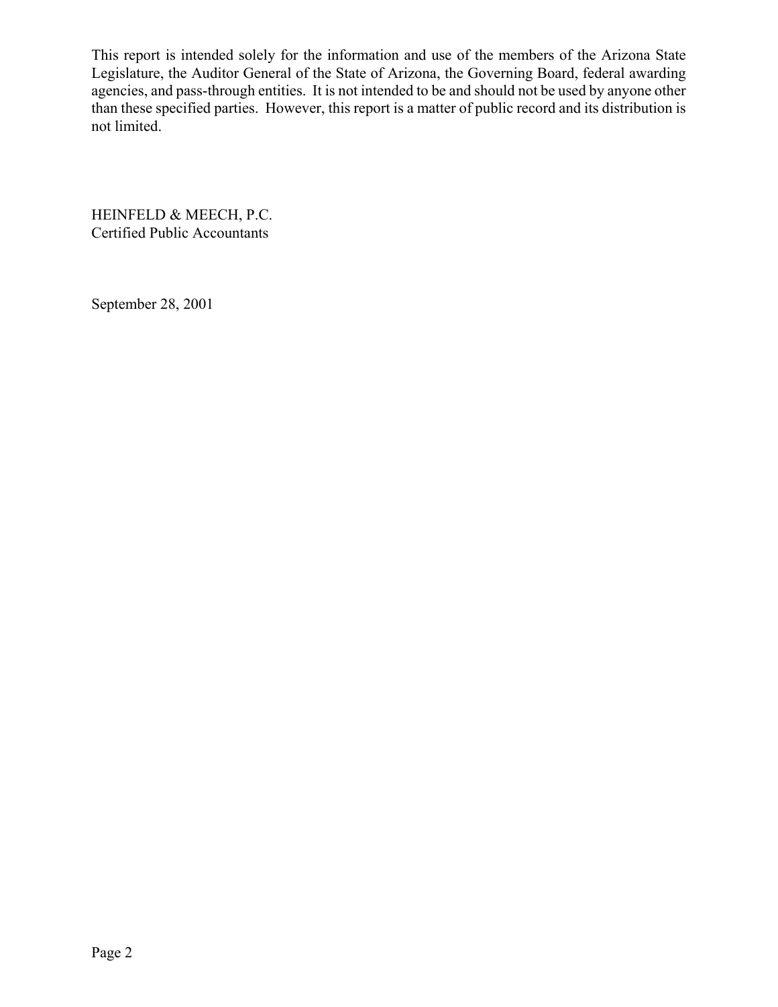This report is intended solely for the information and use of the members of the Arizona State Legislature, the Auditor General of the State of Arizona, the Governing Board, federal awarding agencies, and pass-through entities. It is not intended to be and should not be used by anyone other than these specified parties. However, this report is a matter of public record and its distribution is not limited.

HEINFELD & MEECH, P.C. Certified Public Accountants

September 28, 2001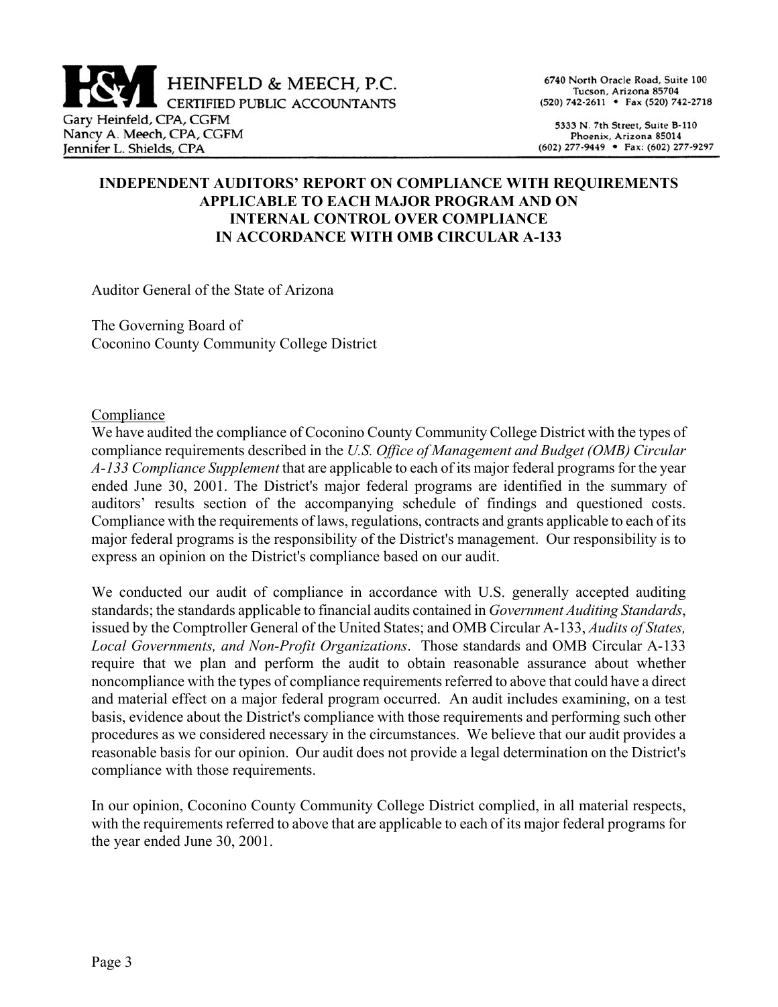

6740 North Oracle Road, Suite 100 Tucson, Arizona 85704 (520) 742-2611 • Fax (520) 742-2718

5333 N. 7th Street, Suite B-110 Phoenix, Arizona 85014 (602) 277-9449 • Fax: (602) 277-9297

## **INDEPENDENT AUDITORSí REPORT ON COMPLIANCE WITH REQUIREMENTS APPLICABLE TO EACH MAJOR PROGRAM AND ON INTERNAL CONTROL OVER COMPLIANCE IN ACCORDANCE WITH OMB CIRCULAR A-133**

Auditor General of the State of Arizona

The Governing Board of Coconino County Community College District

#### Compliance

We have audited the compliance of Coconino County Community College District with the types of compliance requirements described in the *U.S. Office of Management and Budget (OMB) Circular A-133 Compliance Supplement* that are applicable to each of its major federal programs for the year ended June 30, 2001. The District's major federal programs are identified in the summary of auditors' results section of the accompanying schedule of findings and questioned costs. Compliance with the requirements of laws, regulations, contracts and grants applicable to each of its major federal programs is the responsibility of the District's management. Our responsibility is to express an opinion on the District's compliance based on our audit.

We conducted our audit of compliance in accordance with U.S. generally accepted auditing standards; the standards applicable to financial audits contained in *Government Auditing Standards*, issued by the Comptroller General of the United States; and OMB Circular A-133, *Audits of States, Local Governments, and Non-Profit Organizations*. Those standards and OMB Circular A-133 require that we plan and perform the audit to obtain reasonable assurance about whether noncompliance with the types of compliance requirements referred to above that could have a direct and material effect on a major federal program occurred. An audit includes examining, on a test basis, evidence about the District's compliance with those requirements and performing such other procedures as we considered necessary in the circumstances. We believe that our audit provides a reasonable basis for our opinion. Our audit does not provide a legal determination on the District's compliance with those requirements.

In our opinion, Coconino County Community College District complied, in all material respects, with the requirements referred to above that are applicable to each of its major federal programs for the year ended June 30, 2001.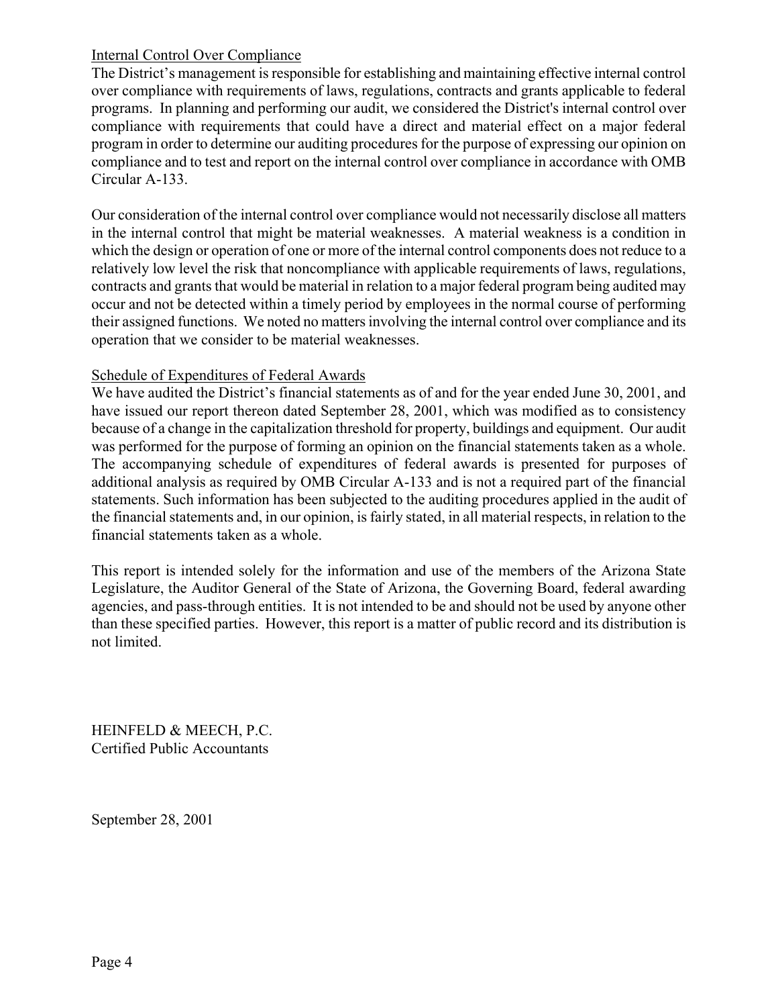## Internal Control Over Compliance

The District's management is responsible for establishing and maintaining effective internal control over compliance with requirements of laws, regulations, contracts and grants applicable to federal programs. In planning and performing our audit, we considered the District's internal control over compliance with requirements that could have a direct and material effect on a major federal program in order to determine our auditing procedures for the purpose of expressing our opinion on compliance and to test and report on the internal control over compliance in accordance with OMB Circular A-133.

Our consideration of the internal control over compliance would not necessarily disclose all matters in the internal control that might be material weaknesses. A material weakness is a condition in which the design or operation of one or more of the internal control components does not reduce to a relatively low level the risk that noncompliance with applicable requirements of laws, regulations, contracts and grants that would be material in relation to a major federal program being audited may occur and not be detected within a timely period by employees in the normal course of performing their assigned functions. We noted no matters involving the internal control over compliance and its operation that we consider to be material weaknesses.

## Schedule of Expenditures of Federal Awards

We have audited the District's financial statements as of and for the year ended June 30, 2001, and have issued our report thereon dated September 28, 2001, which was modified as to consistency because of a change in the capitalization threshold for property, buildings and equipment. Our audit was performed for the purpose of forming an opinion on the financial statements taken as a whole. The accompanying schedule of expenditures of federal awards is presented for purposes of additional analysis as required by OMB Circular A-133 and is not a required part of the financial statements. Such information has been subjected to the auditing procedures applied in the audit of the financial statements and, in our opinion, is fairly stated, in all material respects, in relation to the financial statements taken as a whole.

This report is intended solely for the information and use of the members of the Arizona State Legislature, the Auditor General of the State of Arizona, the Governing Board, federal awarding agencies, and pass-through entities. It is not intended to be and should not be used by anyone other than these specified parties. However, this report is a matter of public record and its distribution is not limited.

HEINFELD & MEECH, P.C. Certified Public Accountants

September 28, 2001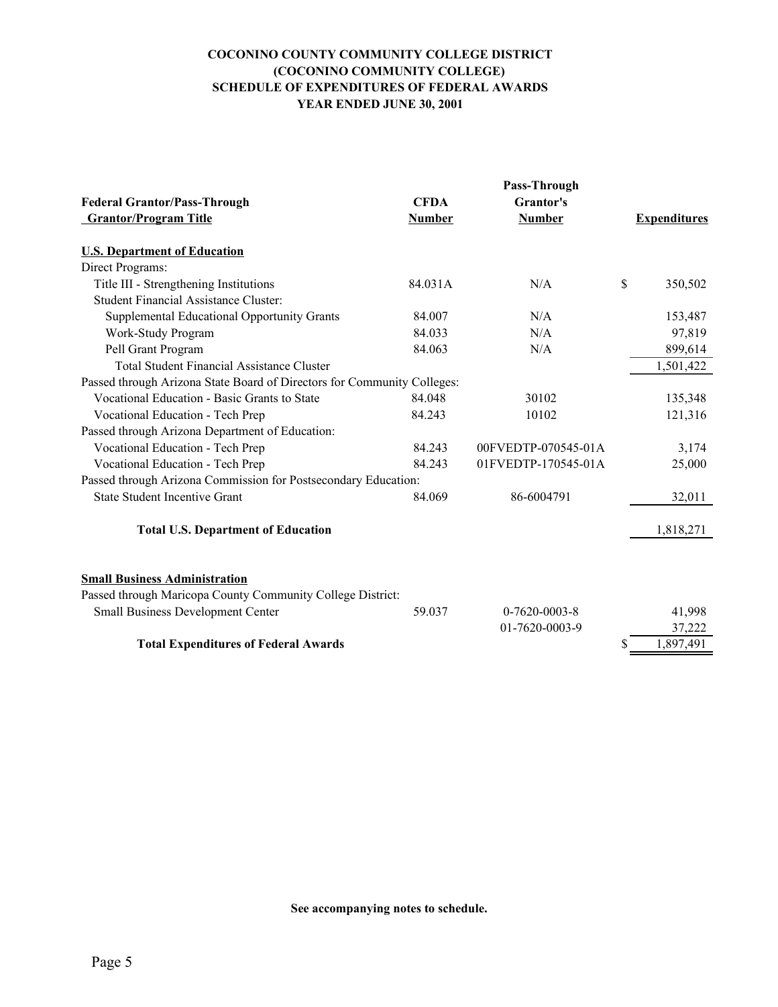#### **COCONINO COUNTY COMMUNITY COLLEGE DISTRICT (COCONINO COMMUNITY COLLEGE) SCHEDULE OF EXPENDITURES OF FEDERAL AWARDS YEAR ENDED JUNE 30, 2001**

| <b>Federal Grantor/Pass-Through</b>                                     | <b>CFDA</b>   | Grantor's           |                     |
|-------------------------------------------------------------------------|---------------|---------------------|---------------------|
| <b>Grantor/Program Title</b>                                            | <b>Number</b> | <b>Number</b>       | <b>Expenditures</b> |
| <b>U.S. Department of Education</b>                                     |               |                     |                     |
| Direct Programs:                                                        |               |                     |                     |
| Title III - Strengthening Institutions                                  | 84.031A       | N/A                 | \$<br>350,502       |
| <b>Student Financial Assistance Cluster:</b>                            |               |                     |                     |
| Supplemental Educational Opportunity Grants                             | 84.007        | N/A                 | 153,487             |
| Work-Study Program                                                      | 84.033        | N/A                 | 97,819              |
| Pell Grant Program                                                      | 84.063        | N/A                 | 899,614             |
| <b>Total Student Financial Assistance Cluster</b>                       |               |                     | 1,501,422           |
| Passed through Arizona State Board of Directors for Community Colleges: |               |                     |                     |
| Vocational Education - Basic Grants to State                            | 84.048        | 30102               | 135,348             |
| Vocational Education - Tech Prep                                        | 84.243        | 10102               | 121,316             |
| Passed through Arizona Department of Education:                         |               |                     |                     |
| Vocational Education - Tech Prep                                        | 84.243        | 00FVEDTP-070545-01A | 3,174               |
| Vocational Education - Tech Prep                                        | 84.243        | 01FVEDTP-170545-01A | 25,000              |
| Passed through Arizona Commission for Postsecondary Education:          |               |                     |                     |
| <b>State Student Incentive Grant</b>                                    | 84.069        | 86-6004791          | 32,011              |
| <b>Total U.S. Department of Education</b>                               |               |                     | 1,818,271           |
|                                                                         |               |                     |                     |
| <b>Small Business Administration</b>                                    |               |                     |                     |
| Passed through Maricopa County Community College District:              |               |                     |                     |
| <b>Small Business Development Center</b>                                | 59.037        | $0-7620-0003-8$     | 41,998              |
|                                                                         |               | 01-7620-0003-9      | 37,222              |
| <b>Total Expenditures of Federal Awards</b>                             |               |                     | 1,897,491<br>S      |

**See accompanying notes to schedule.**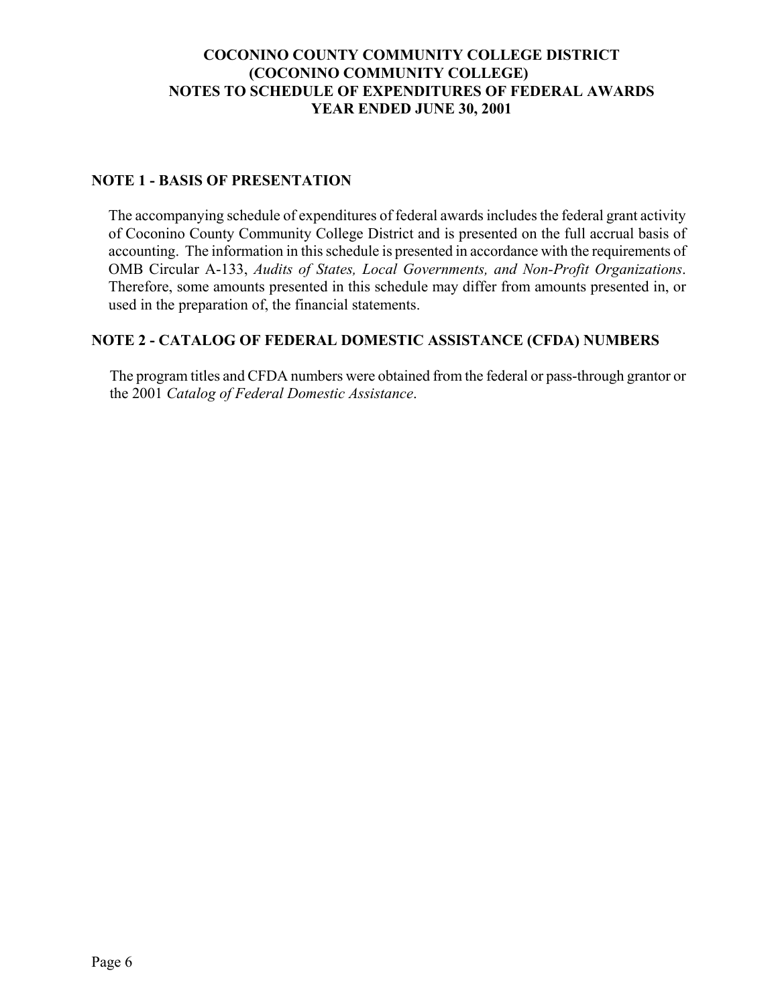# **COCONINO COUNTY COMMUNITY COLLEGE DISTRICT (COCONINO COMMUNITY COLLEGE) NOTES TO SCHEDULE OF EXPENDITURES OF FEDERAL AWARDS YEAR ENDED JUNE 30, 2001**

#### **NOTE 1 - BASIS OF PRESENTATION**

The accompanying schedule of expenditures of federal awards includes the federal grant activity of Coconino County Community College District and is presented on the full accrual basis of accounting. The information in this schedule is presented in accordance with the requirements of OMB Circular A-133, *Audits of States, Local Governments, and Non-Profit Organizations*. Therefore, some amounts presented in this schedule may differ from amounts presented in, or used in the preparation of, the financial statements.

#### **NOTE 2 - CATALOG OF FEDERAL DOMESTIC ASSISTANCE (CFDA) NUMBERS**

The program titles and CFDA numbers were obtained from the federal or pass-through grantor or the 2001 *Catalog of Federal Domestic Assistance*.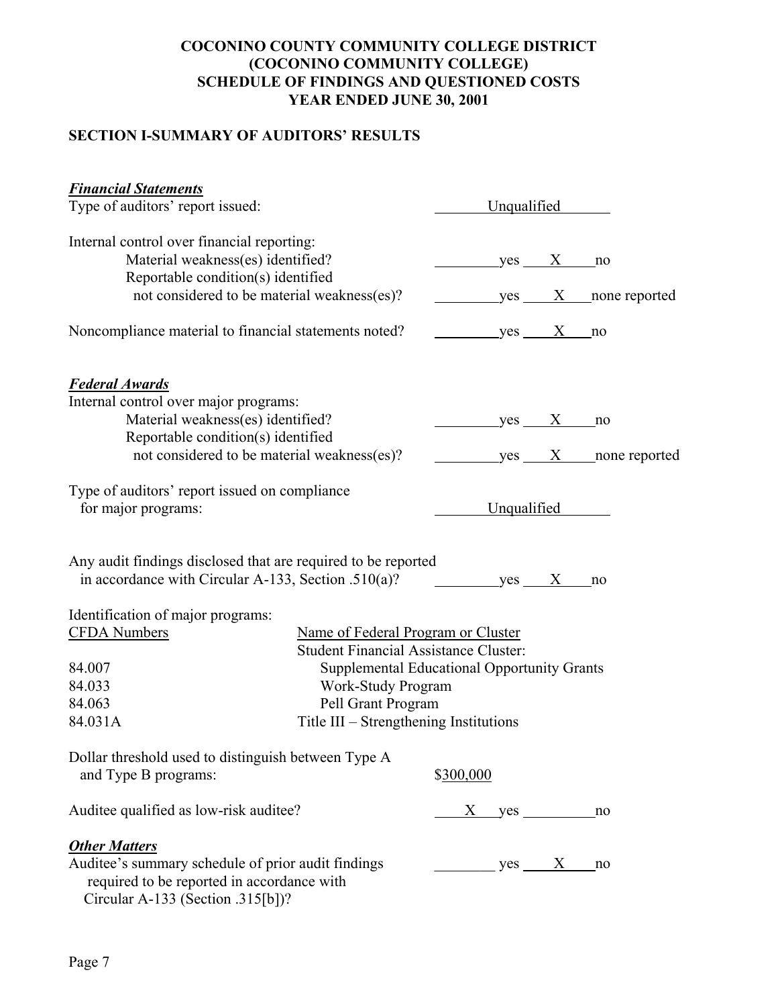# **COCONINO COUNTY COMMUNITY COLLEGE DISTRICT (COCONINO COMMUNITY COLLEGE) SCHEDULE OF FINDINGS AND QUESTIONED COSTS YEAR ENDED JUNE 30, 2001**

# **SECTION I-SUMMARY OF AUDITORS' RESULTS**

| <b>Financial Statements</b>                                                                                                           |                                        |                                             |             |                       |  |
|---------------------------------------------------------------------------------------------------------------------------------------|----------------------------------------|---------------------------------------------|-------------|-----------------------|--|
| Type of auditors' report issued:                                                                                                      |                                        |                                             | Unqualified |                       |  |
| Internal control over financial reporting:<br>Material weakness(es) identified?                                                       |                                        | $yes$ X no                                  |             |                       |  |
| Reportable condition(s) identified<br>not considered to be material weakness(es)?                                                     |                                        |                                             |             | $yes$ X none reported |  |
| Noncompliance material to financial statements noted?                                                                                 |                                        | $yes$ X                                     |             | no                    |  |
| <b>Federal Awards</b>                                                                                                                 |                                        |                                             |             |                       |  |
| Internal control over major programs:                                                                                                 |                                        |                                             |             |                       |  |
| Material weakness(es) identified?                                                                                                     |                                        | $yes$ X no                                  |             |                       |  |
| Reportable condition(s) identified                                                                                                    |                                        |                                             |             |                       |  |
| not considered to be material weakness(es)?                                                                                           |                                        |                                             |             | $yes$ X none reported |  |
| Type of auditors' report issued on compliance<br>for major programs:                                                                  |                                        | Unqualified                                 |             |                       |  |
| Any audit findings disclosed that are required to be reported<br>in accordance with Circular A-133, Section .510(a)?                  |                                        | $yes$ X no                                  |             |                       |  |
| Identification of major programs:                                                                                                     |                                        |                                             |             |                       |  |
| <b>CFDA</b> Numbers                                                                                                                   | Name of Federal Program or Cluster     |                                             |             |                       |  |
| <b>Student Financial Assistance Cluster:</b>                                                                                          |                                        |                                             |             |                       |  |
| 84.007                                                                                                                                |                                        | Supplemental Educational Opportunity Grants |             |                       |  |
| 84.033                                                                                                                                | Work-Study Program                     |                                             |             |                       |  |
| 84.063                                                                                                                                | Pell Grant Program                     |                                             |             |                       |  |
| 84.031A                                                                                                                               | Title III – Strengthening Institutions |                                             |             |                       |  |
| Dollar threshold used to distinguish between Type A                                                                                   |                                        |                                             |             |                       |  |
| and Type B programs:                                                                                                                  |                                        | \$300,000                                   |             |                       |  |
| Auditee qualified as low-risk auditee?                                                                                                |                                        | X yes                                       |             | no                    |  |
| <b>Other Matters</b>                                                                                                                  |                                        |                                             |             |                       |  |
| Auditee's summary schedule of prior audit findings<br>required to be reported in accordance with<br>Circular A-133 (Section .315[b])? |                                        | $yes$ X                                     |             | no                    |  |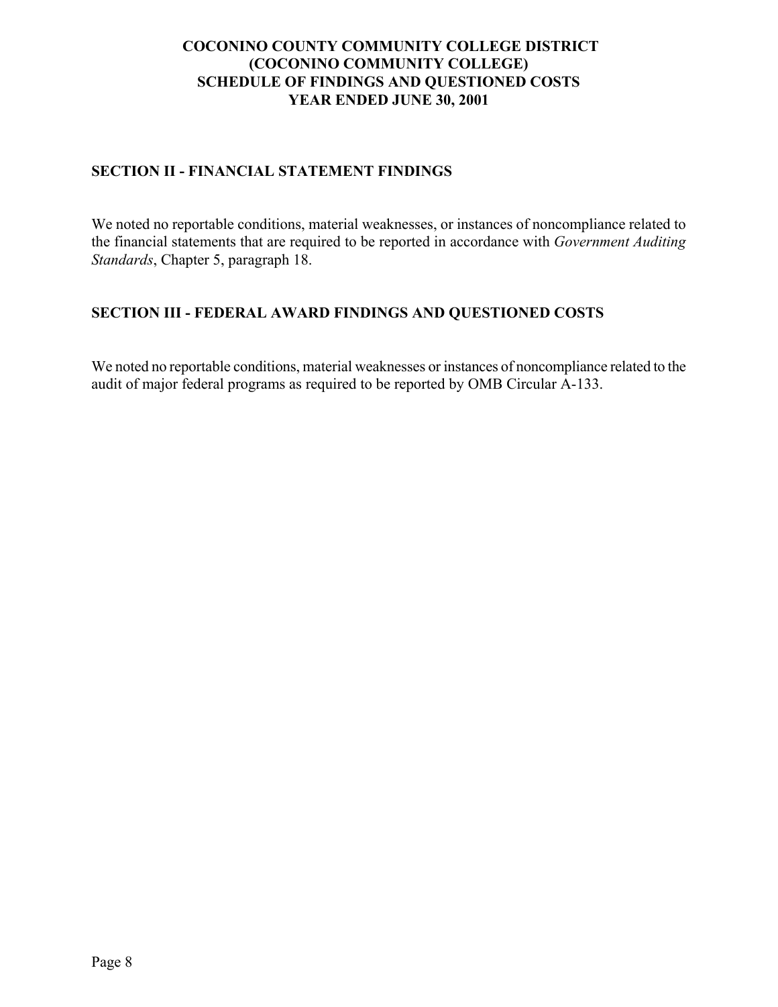# **COCONINO COUNTY COMMUNITY COLLEGE DISTRICT (COCONINO COMMUNITY COLLEGE) SCHEDULE OF FINDINGS AND QUESTIONED COSTS YEAR ENDED JUNE 30, 2001**

# **SECTION II - FINANCIAL STATEMENT FINDINGS**

We noted no reportable conditions, material weaknesses, or instances of noncompliance related to the financial statements that are required to be reported in accordance with *Government Auditing Standards*, Chapter 5, paragraph 18.

## **SECTION III - FEDERAL AWARD FINDINGS AND QUESTIONED COSTS**

We noted no reportable conditions, material weaknesses or instances of noncompliance related to the audit of major federal programs as required to be reported by OMB Circular A-133.